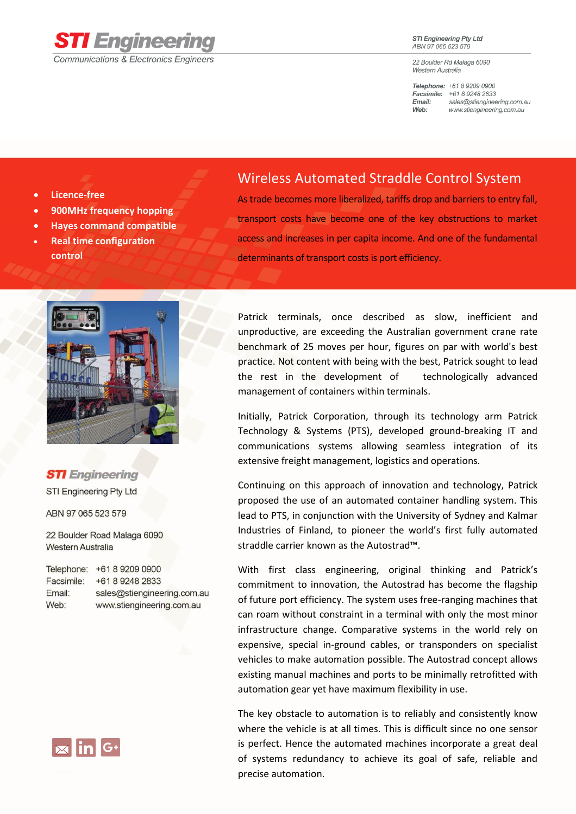

## **STI Engineering Pty Ltd** ABN 97 065 523 579

22 Boulder Rd Malaga 6090 Western Australia

Telephone: +61 8 9209 0900 Facsimile: +61 8 9248 2833 sales@stiengineering.com.au Email: Web: www.stiengineering.com.au

- **Licence-free**
- **900MHz frequency hopping**
- **Hayes command compatible**
- **Real time configuration control**

## Wireless Automated Straddle Control System

As trade becomes more liberalized, tariffs drop and barriers to entry fall, transport costs have become one of the key obstructions to market access and increases in per capita income. And one of the fundamental determinants of transport costs is port efficiency.



**STI** Engineering STI Engineering Pty Ltd

ABN 97 065 523 579

22 Boulder Road Malaga 6090 Western Australia

| Telephone: | +61 8 9209 0900             |
|------------|-----------------------------|
| Facsimile: | +61 8 9248 2833             |
| Email:     | sales@stiengineering.com.au |
| Web:       | www.stiengineering.com.au   |



Patrick terminals, once described as slow, inefficient and unproductive, are exceeding the Australian government crane rate benchmark of 25 moves per hour, figures on par with world's best practice. Not content with being with the best, Patrick sought to lead the rest in the development of technologically advanced management of containers within terminals.

Initially, Patrick Corporation, through its technology arm Patrick Technology & Systems (PTS), developed ground-breaking IT and communications systems allowing seamless integration of its extensive freight management, logistics and operations.

Continuing on this approach of innovation and technology, Patrick proposed the use of an automated container handling system. This lead to PTS, in conjunction with the University of Sydney and Kalmar Industries of Finland, to pioneer the world's first fully automated straddle carrier known as the Autostrad™.

With first class engineering, original thinking and Patrick's commitment to innovation, the Autostrad has become the flagship of future port efficiency. The system uses free-ranging machines that can roam without constraint in a terminal with only the most minor infrastructure change. Comparative systems in the world rely on expensive, special in-ground cables, or transponders on specialist vehicles to make automation possible. The Autostrad concept allows existing manual machines and ports to be minimally retrofitted with automation gear yet have maximum flexibility in use.

The key obstacle to automation is to reliably and consistently know where the vehicle is at all times. This is difficult since no one sensor is perfect. Hence the automated machines incorporate a great deal of systems redundancy to achieve its goal of safe, reliable and precise automation.